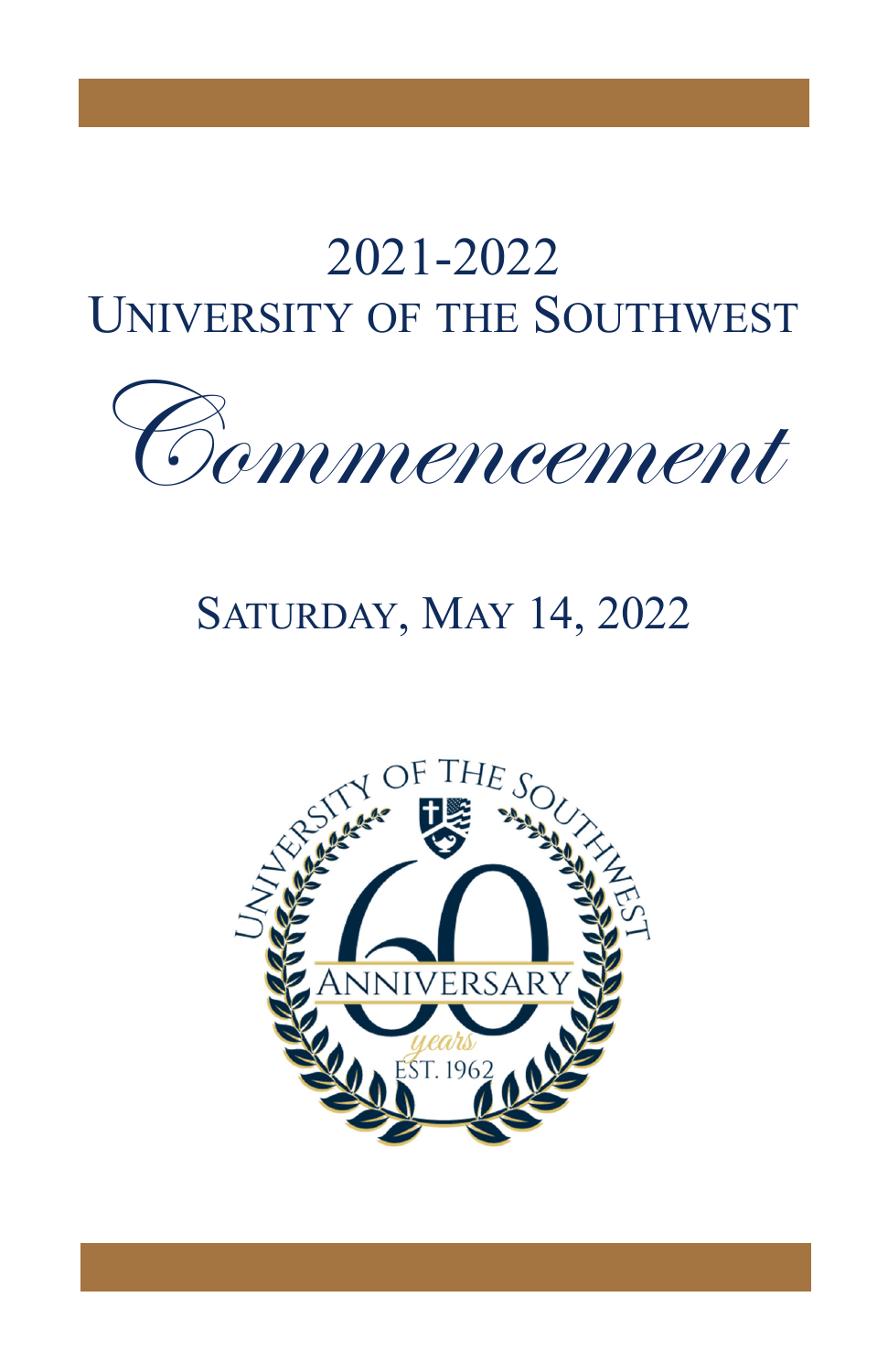# 2021-2022 **UNIVERSITY OF THE SOUTHWEST**



# **SATURDAY, MAY 14, 2022**

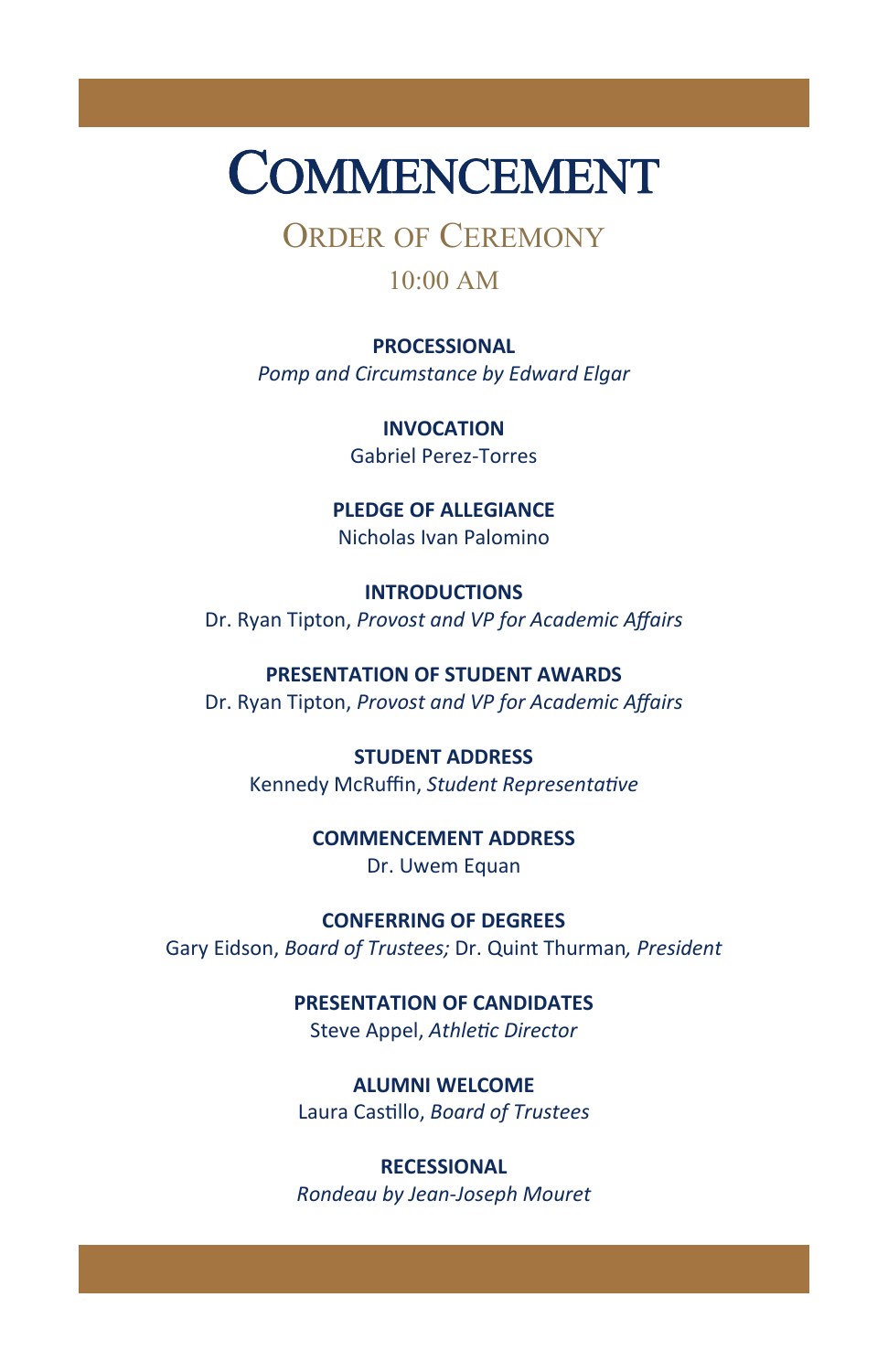# COMMENCEMENT

ORDER OF CEREMONY

#### 10:00 AM

**PROCESSIONAL** *Pomp and Circumstance by Edward Elgar* 

> **INVOCATION** Gabriel Perez‐Torres

**PLEDGE OF ALLEGIANCE** Nicholas Ivan Palomino

**INTRODUCTIONS** Dr. Ryan Tipton, *Provost and VP for Academic Affairs* 

**PRESENTATION OF STUDENT AWARDS** Dr. Ryan Tipton, *Provost and VP for Academic Affairs* 

**STUDENT ADDRESS** Kennedy McRuffin, *Student RepresentaƟve* 

> **COMMENCEMENT ADDRESS** Dr. Uwem Equan

**CONFERRING OF DEGREES** Gary Eidson, *Board of Trustees;* Dr. Quint Thurman*, President* 

> **PRESENTATION OF CANDIDATES** Steve Appel, *AthleƟc Director*

**ALUMNI WELCOME** Laura CasƟllo, *Board of Trustees* 

**RECESSIONAL** *Rondeau by Jean‐Joseph Mouret*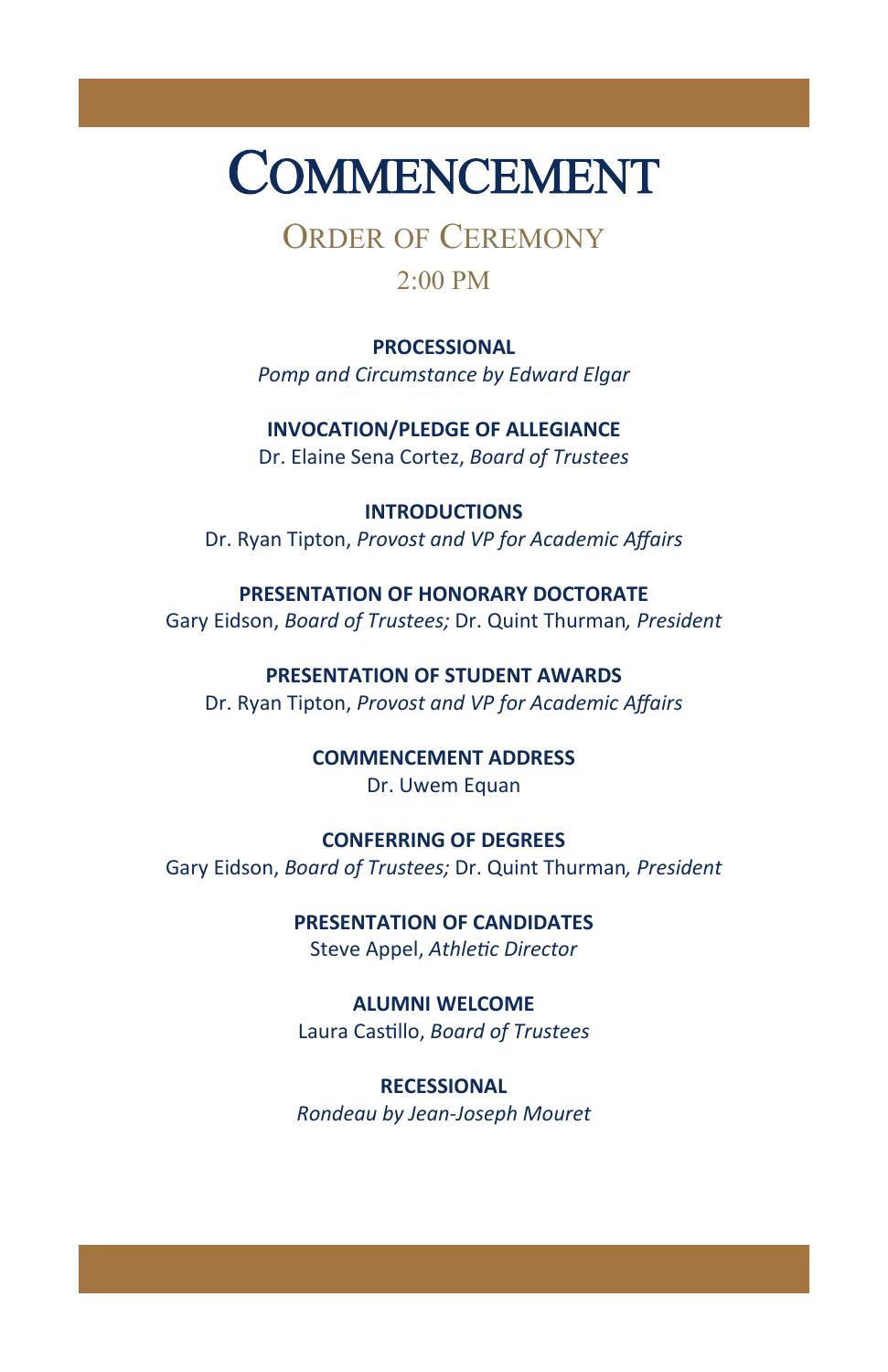# COMMENCEMENT

ORDER OF CEREMONY

#### 2:00 PM

#### **PROCESSIONAL**

*Pomp and Circumstance by Edward Elgar* 

**INVOCATION/PLEDGE OF ALLEGIANCE** Dr. Elaine Sena Cortez, *Board of Trustees* 

**INTRODUCTIONS** Dr. Ryan Tipton, *Provost and VP for Academic Affairs* 

#### **PRESENTATION OF HONORARY DOCTORATE**

Gary Eidson, *Board of Trustees;* Dr. Quint Thurman*, President* 

**PRESENTATION OF STUDENT AWARDS** Dr. Ryan Tipton, *Provost and VP for Academic Affairs* 

#### **COMMENCEMENT ADDRESS** Dr. Uwem Equan

**CONFERRING OF DEGREES** Gary Eidson, *Board of Trustees;* Dr. Quint Thurman*, President* 

#### **PRESENTATION OF CANDIDATES** Steve Appel, *AthleƟc Director*

**ALUMNI WELCOME** Laura CasƟllo, *Board of Trustees* 

#### **RECESSIONAL** *Rondeau by Jean‐Joseph Mouret*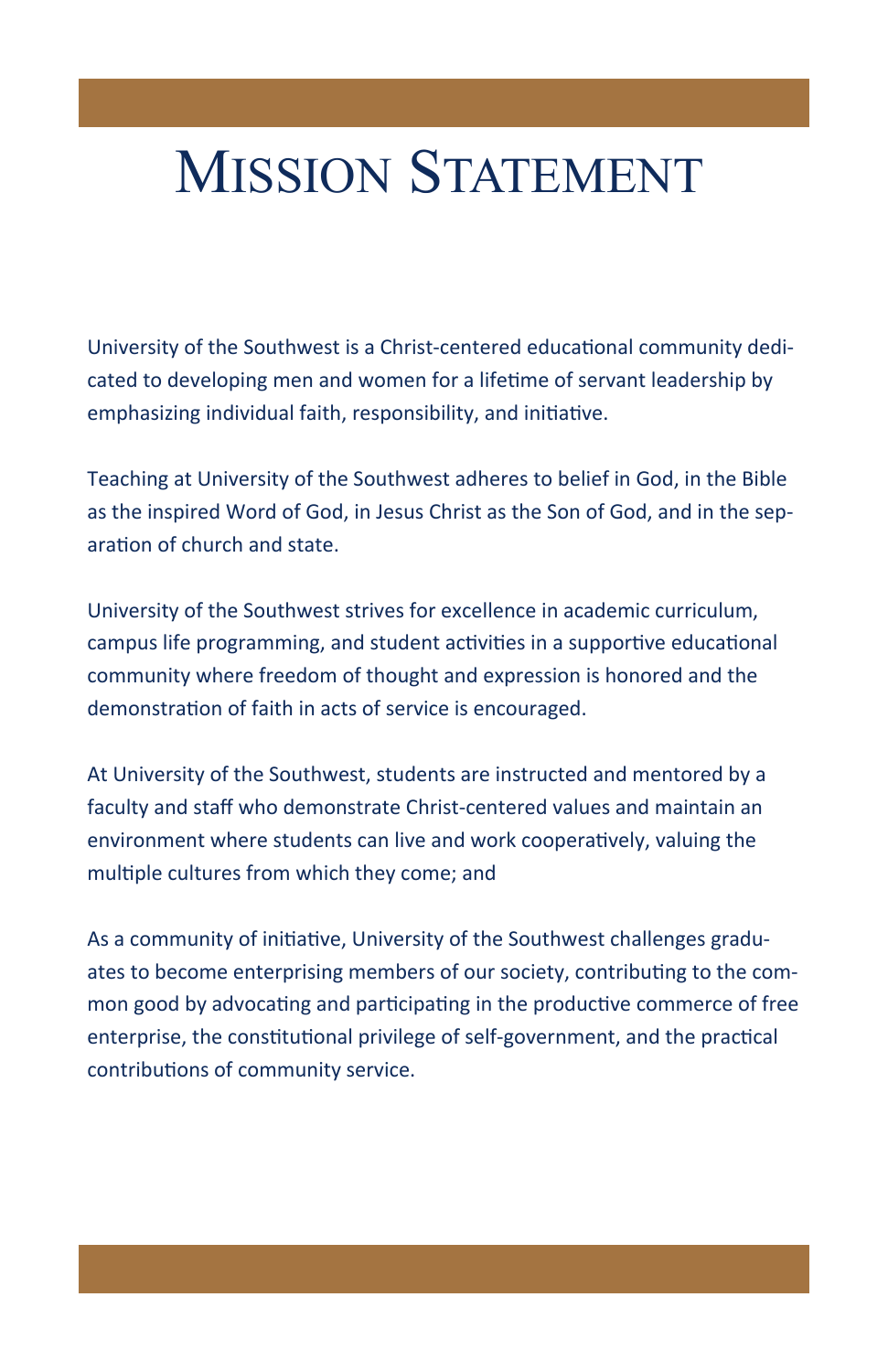# MISSION STATEMENT

University of the Southwest is a Christ-centered educational community dedicated to developing men and women for a lifetime of servant leadership by emphasizing individual faith, responsibility, and initiative.

Teaching at University of the Southwest adheres to belief in God, in the Bible as the inspired Word of God, in Jesus Christ as the Son of God, and in the separation of church and state.

University of the Southwest strives for excellence in academic curriculum, campus life programming, and student activities in a supportive educational community where freedom of thought and expression is honored and the demonstration of faith in acts of service is encouraged.

At University of the Southwest, students are instructed and mentored by a faculty and staff who demonstrate Christ‐centered values and maintain an environment where students can live and work cooperatively, valuing the multiple cultures from which they come; and

As a community of initiative, University of the Southwest challenges graduates to become enterprising members of our society, contributing to the common good by advocating and participating in the productive commerce of free enterprise, the constitutional privilege of self-government, and the practical contributions of community service.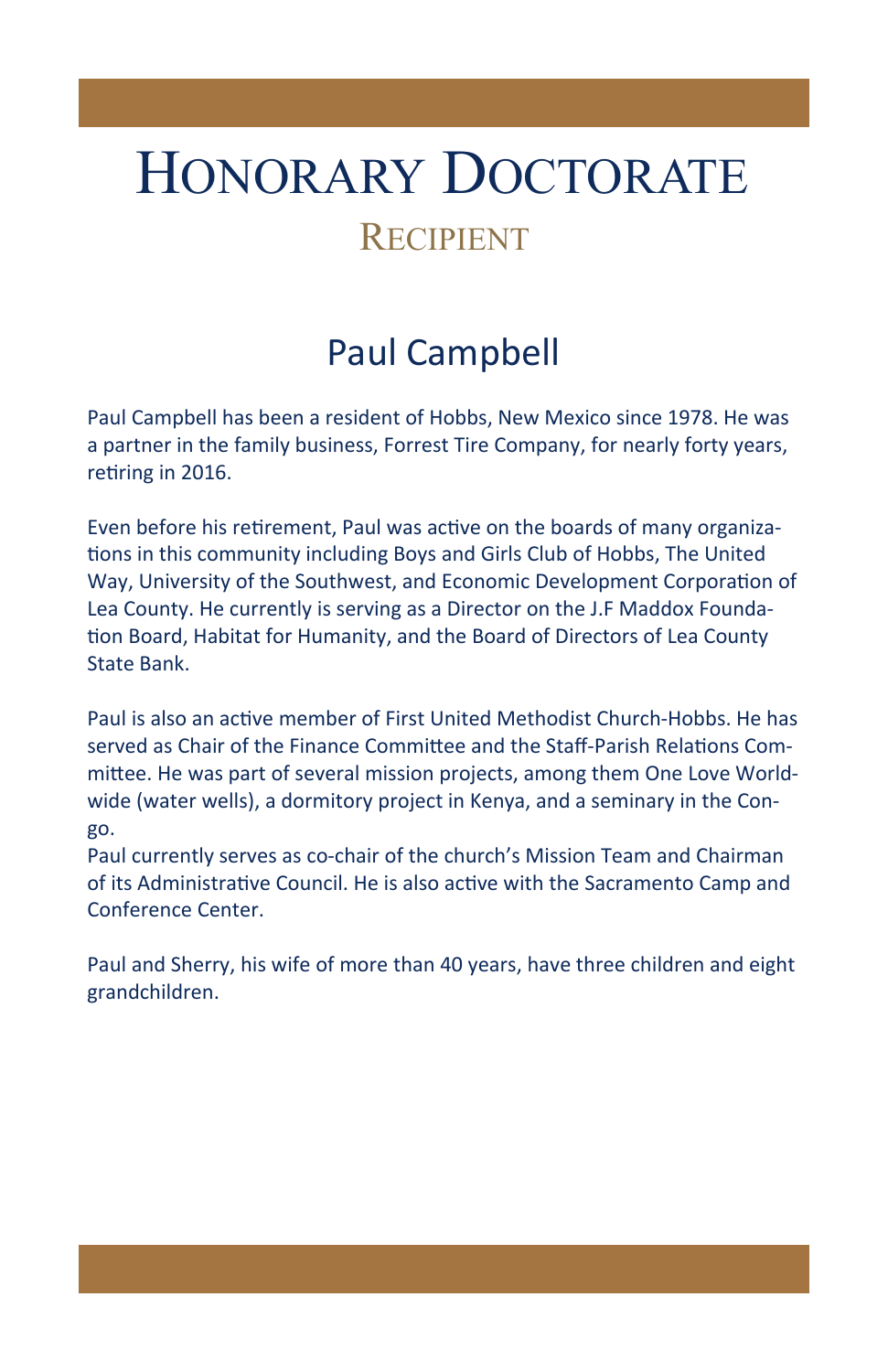# HONORARY DOCTORATE

## **RECIPIENT**

# Paul Campbell

Paul Campbell has been a resident of Hobbs, New Mexico since 1978. He was a partner in the family business, Forrest Tire Company, for nearly forty years, retiring in 2016.

Even before his retirement, Paul was active on the boards of many organiza-Ɵons in this community including Boys and Girls Club of Hobbs, The United Way, University of the Southwest, and Economic Development Corporation of Lea County. He currently is serving as a Director on the J.F Maddox Founda‐ tion Board, Habitat for Humanity, and the Board of Directors of Lea County State Bank.

Paul is also an acƟve member of First United Methodist Church‐Hobbs. He has served as Chair of the Finance Committee and the Staff-Parish Relations Committee. He was part of several mission projects, among them One Love Worldwide (water wells), a dormitory project in Kenya, and a seminary in the Congo.

Paul currently serves as co‐chair of the church's Mission Team and Chairman of its Administrative Council. He is also active with the Sacramento Camp and Conference Center.

Paul and Sherry, his wife of more than 40 years, have three children and eight grandchildren.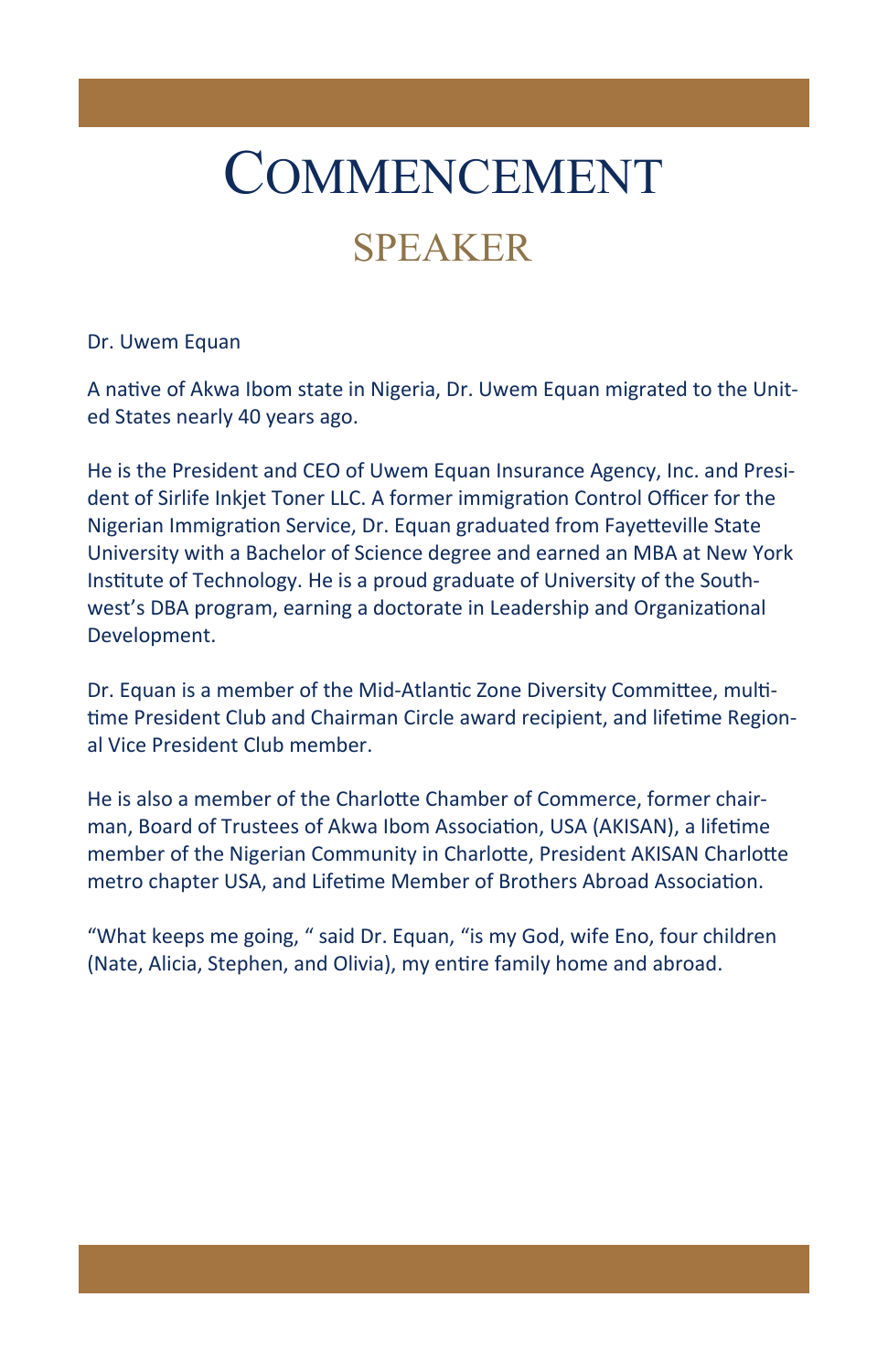# COMMENCEMENT

## SPEAKER

#### Dr. Uwem Equan

A native of Akwa Ibom state in Nigeria, Dr. Uwem Equan migrated to the United States nearly 40 years ago.

He is the President and CEO of Uwem Equan Insurance Agency, Inc. and Presi‐ dent of Sirlife Inkjet Toner LLC. A former immigration Control Officer for the Nigerian Immigration Service, Dr. Equan graduated from Fayetteville State University with a Bachelor of Science degree and earned an MBA at New York Institute of Technology. He is a proud graduate of University of the Southwest's DBA program, earning a doctorate in Leadership and Organizational Development.

Dr. Equan is a member of the Mid-Atlantic Zone Diversity Committee, multitime President Club and Chairman Circle award recipient, and lifetime Regional Vice President Club member.

He is also a member of the Charlotte Chamber of Commerce, former chairman, Board of Trustees of Akwa Ibom Association, USA (AKISAN), a lifetime member of the Nigerian Community in Charlotte, President AKISAN Charlotte metro chapter USA, and Lifetime Member of Brothers Abroad Association.

"What keeps me going, " said Dr. Equan, "is my God, wife Eno, four children (Nate, Alicia, Stephen, and Olivia), my entire family home and abroad.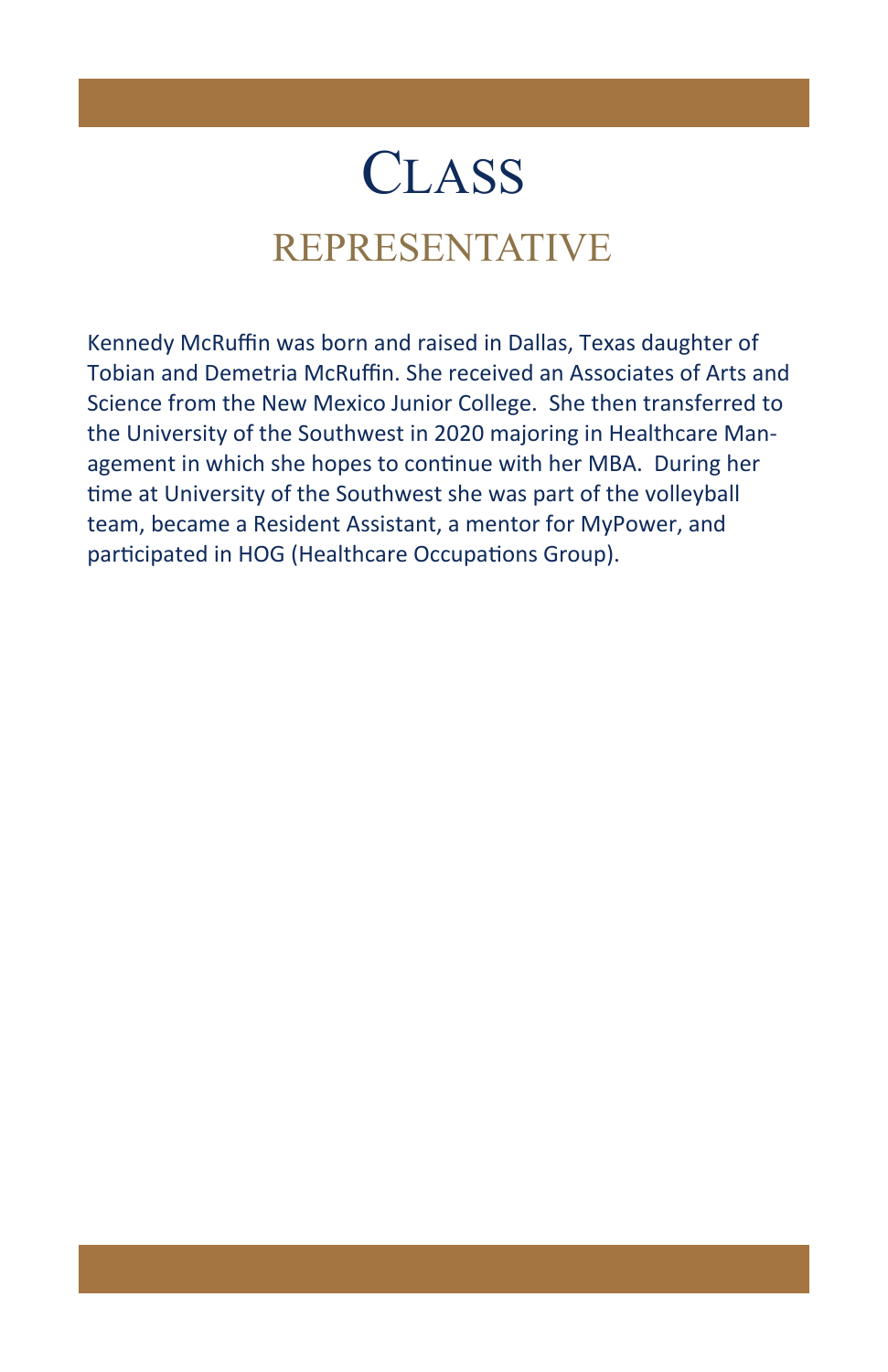# **CLASS**

# REPRESENTATIVE

Kennedy McRuffin was born and raised in Dallas, Texas daughter of Tobian and Demetria McRuffin. She received an Associates of Arts and Science from the New Mexico Junior College. She then transferred to the University of the Southwest in 2020 majoring in Healthcare Man‐ agement in which she hopes to continue with her MBA. During her time at University of the Southwest she was part of the volleyball team, became a Resident Assistant, a mentor for MyPower, and participated in HOG (Healthcare Occupations Group).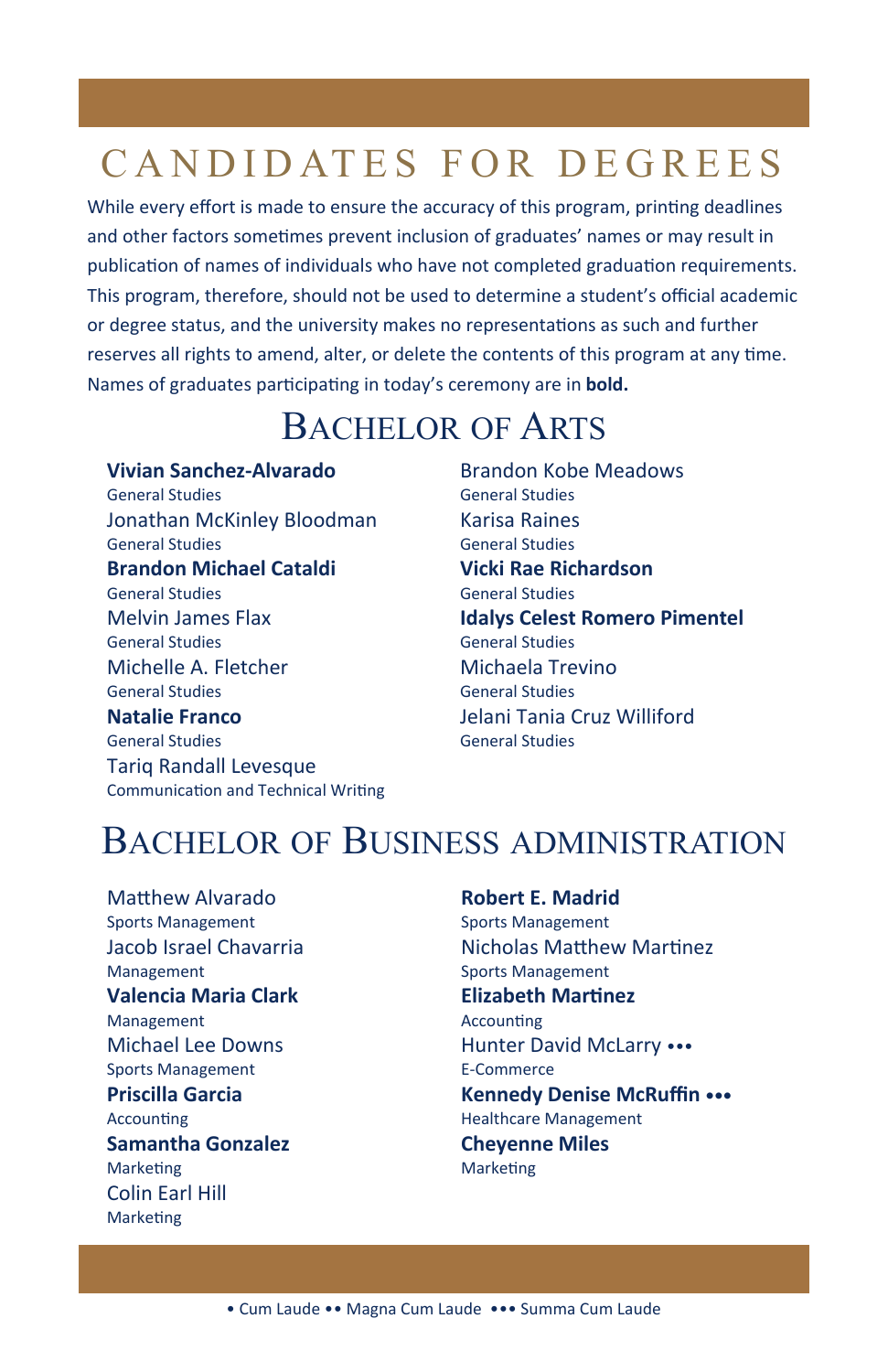While every effort is made to ensure the accuracy of this program, printing deadlines and other factors sometimes prevent inclusion of graduates' names or may result in publication of names of individuals who have not completed graduation requirements. This program, therefore, should not be used to determine a student's official academic or degree status, and the university makes no representations as such and further reserves all rights to amend, alter, or delete the contents of this program at any time. Names of graduates participating in today's ceremony are in **bold.** 

## BACHELOR OF ARTS

**Vivian Sanchez‐Alvarado** General Studies Jonathan McKinley Bloodman General Studies **Brandon Michael Cataldi** General Studies Melvin James Flax General Studies Michelle A. Fletcher General Studies **Natalie Franco** General Studies Tariq Randall Levesque Communication and Technical Writing Brandon Kobe Meadows General Studies Karisa Raines General Studies **Vicki Rae Richardson** General Studies **Idalys Celest Romero Pimentel** General Studies Michaela Trevino General Studies Jelani Tania Cruz Williford General Studies

## BACHELOR OF BUSINESS ADMINISTRATION

Matthew Alvarado Sports Management Jacob Israel Chavarria Management **Valencia Maria Clark** Management Michael Lee Downs Sports Management **Priscilla Garcia Accounting Samantha Gonzalez Marketing** Colin Earl Hill **Marketing** 

#### **Robert E. Madrid** Sports Management Nicholas Matthew Martinez Sports Management **Elizabeth MarƟnez Accounting** Hunter David McLarry ••• E‐Commerce **Kennedy Denise McRuffin •••** Healthcare Management **Cheyenne Miles Marketing**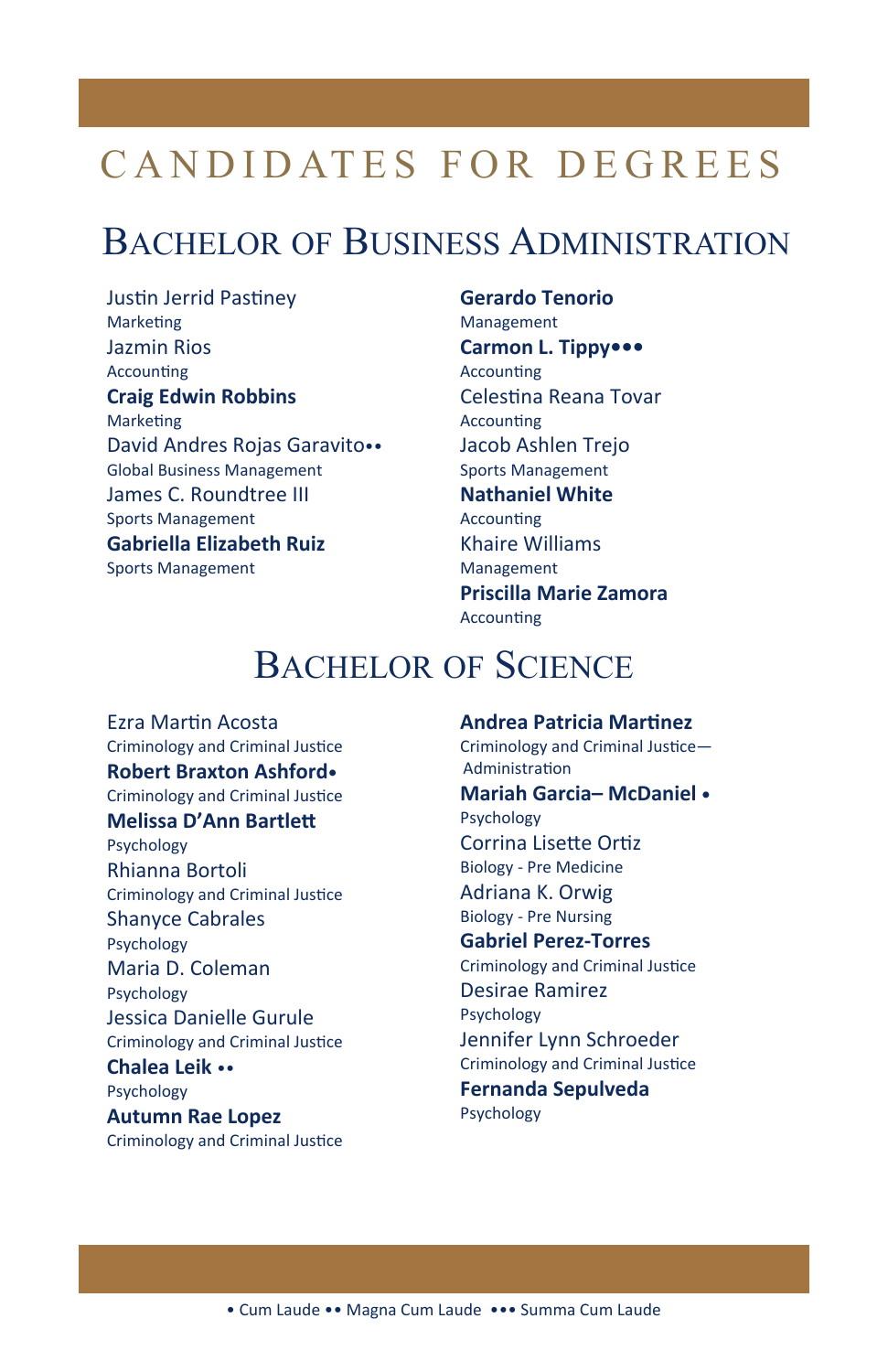#### BACHELOR OF BUSINESS ADMINISTRATION

Justin Jerrid Pastiney **Marketing** Jazmin Rios **Accounting Craig Edwin Robbins Marketing** David Andres Rojas Garavito•• Global Business Management James C. Roundtree III Sports Management **Gabriella Elizabeth Ruiz** Sports Management

#### **Gerardo Tenorio**

Management **Carmon L. Tippy••• Accounting** Celestina Reana Tovar **Accounting** Jacob Ashlen Trejo Sports Management **Nathaniel White Accounting** Khaire Williams Management **Priscilla Marie Zamora Accounting** 

#### BACHELOR OF SCIENCE

Ezra MarƟn Acosta Criminology and Criminal Justice **Robert Braxton Ashford•** Criminology and Criminal Justice **Melissa D'Ann Bartlett** Psychology Rhianna Bortoli Criminology and Criminal Justice Shanyce Cabrales Psychology Maria D. Coleman Psychology Jessica Danielle Gurule Criminology and Criminal Justice **Chalea Leik** •• Psychology **Autumn Rae Lopez** Criminology and Criminal Justice

#### **Andrea Patricia MarƟnez**

Criminology and Criminal Justice-AdministraƟon **Mariah Garcia– McDaniel •** Psychology Corrina Lisette Ortiz Biology ‐ Pre Medicine Adriana K. Orwig Biology ‐ Pre Nursing **Gabriel Perez‐Torres** 

Criminology and Criminal Justice Desirae Ramirez Psychology

Jennifer Lynn Schroeder Criminology and Criminal Justice **Fernanda Sepulveda**  Psychology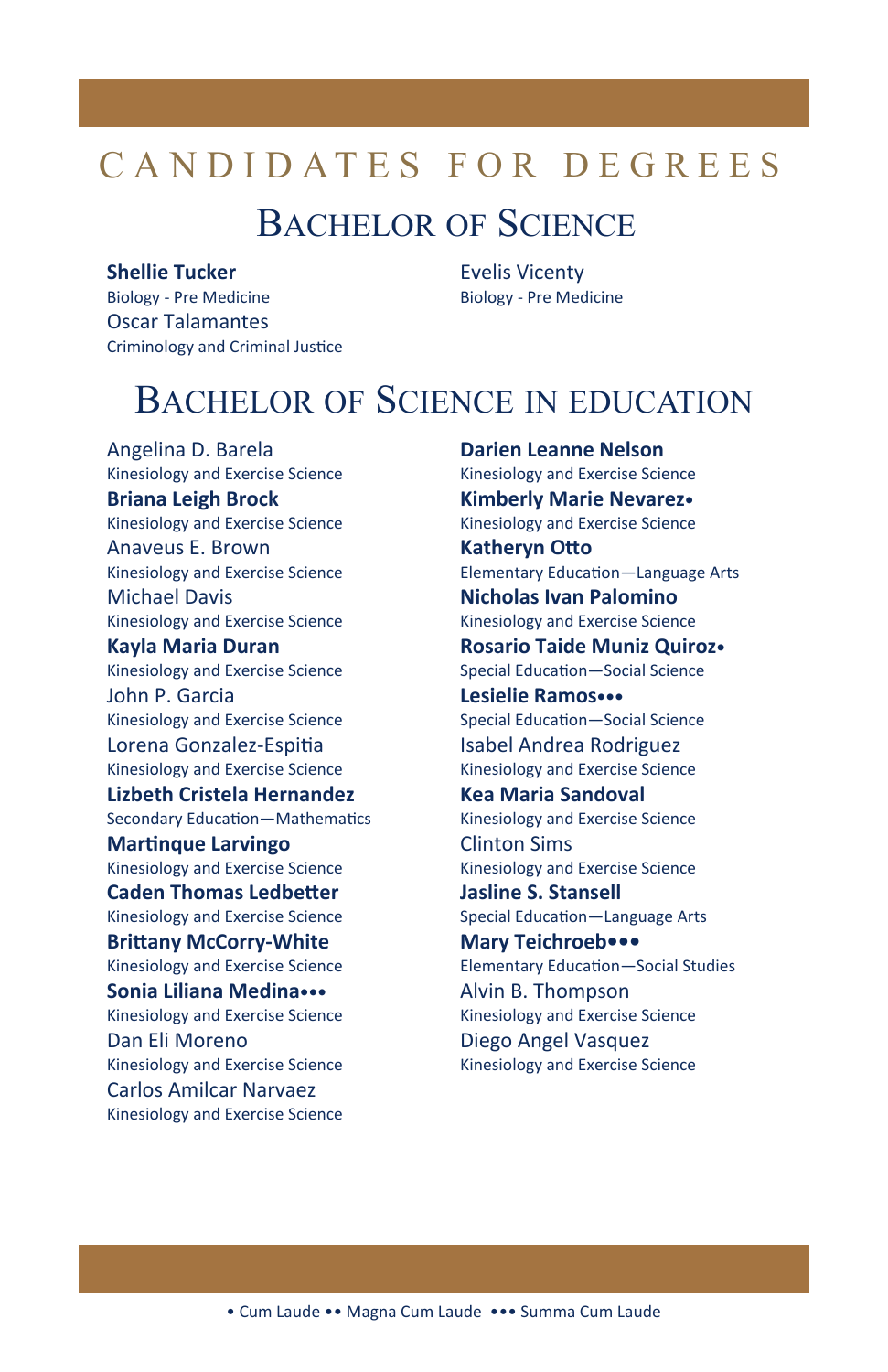### **BACHELOR OF SCIENCE**

#### **Shellie Tucker**

**Biology - Pre Medicine Oscar Talamantes** Criminology and Criminal Justice **Evelis Vicenty Biology - Pre Medicine** 

#### **BACHELOR OF SCIENCE IN EDUCATION**

Angelina D. Barela Kinesiology and Exercise Science **Briana Leigh Brock** Kinesiology and Exercise Science Anaveus F. Brown Kinesiology and Exercise Science **Michael Davis** Kinesiology and Exercise Science **Kayla Maria Duran** Kinesiology and Exercise Science John P. Garcia Kinesiology and Exercise Science Lorena Gonzalez-Espitia Kinesiology and Exercise Science Lizbeth Cristela Hernandez Secondary Education-Mathematics **Martingue Larvingo** Kinesiology and Exercise Science **Caden Thomas Ledbetter** Kinesiology and Exercise Science **Brittany McCorry-White** Kinesiology and Exercise Science Sonia Liliana Medina ... Kinesiology and Exercise Science Dan Eli Moreno Kinesiology and Exercise Science **Carlos Amilcar Narvaez** Kinesiology and Exercise Science

**Darien Leanne Nelson** Kinesiology and Exercise Science Kimberly Marie Nevarez. Kinesiology and Exercise Science **Katheryn Otto** Elementary Education-Language Arts Nicholas Ivan Palomino Kinesiology and Exercise Science **Rosario Taide Muniz Quiroz**• Special Education-Social Science Lesielie Ramos... Special Education-Social Science **Isabel Andrea Rodriguez** Kinesiology and Exercise Science **Kea Maria Sandoval** Kinesiology and Exercise Science **Clinton Sims** Kinesiology and Exercise Science **Jasline S. Stansell** Special Education-Language Arts Mary Teichroeb ••• **Elementary Education-Social Studies** Alvin B. Thompson Kinesiology and Exercise Science Diego Angel Vasquez Kinesiology and Exercise Science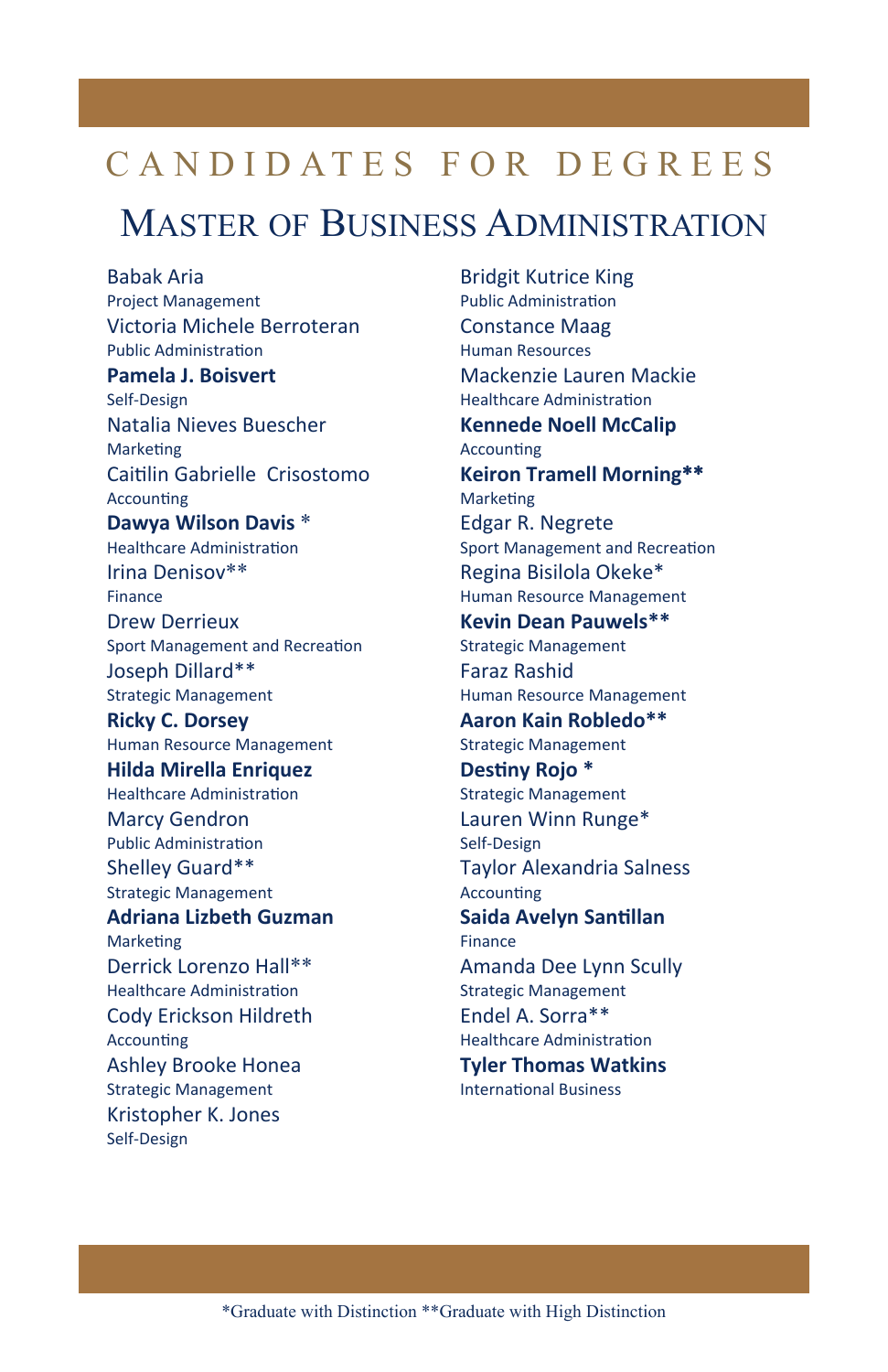### MASTER OF BUSINESS ADMINISTRATION

Babak Aria Project Management Victoria Michele Berroteran Public AdministraƟon **Pamela J. Boisvert**  Self‐Design Natalia Nieves Buescher **Marketing** Caitilin Gabrielle Crisostomo **Accounting Dawya Wilson Davis** \* Healthcare Administration Irina Denisov\*\* Finance Drew Derrieux Sport Management and Recreation Joseph Dillard\*\* Strategic Management **Ricky C. Dorsey** Human Resource Management **Hilda Mirella Enriquez** Healthcare Administration Marcy Gendron Public AdministraƟon Shelley Guard\*\* Strategic Management **Adriana Lizbeth Guzman Marketing** Derrick Lorenzo Hall\*\* Healthcare Administration Cody Erickson Hildreth **Accounting** Ashley Brooke Honea Strategic Management Kristopher K. Jones Self‐Design

Bridgit Kutrice King Public Administration Constance Maag Human Resources Mackenzie Lauren Mackie Healthcare Administration **Kennede Noell McCalip Accounting Keiron Tramell Morning**\*\* **Marketing** Edgar R. Negrete Sport Management and Recreation Regina Bisilola Okeke\* Human Resource Management **Kevin Dean Pauwels\*\*** Strategic Management Faraz Rashid Human Resource Management **Aaron Kain Robledo\*\*** Strategic Management **DesƟny Rojo \*** Strategic Management Lauren Winn Runge\* Self‐Design Taylor Alexandria Salness **Accounting Saida Avelyn Santillan** Finance Amanda Dee Lynn Scully Strategic Management Endel A. Sorra\*\* Healthcare Administration **Tyler Thomas Watkins** International Business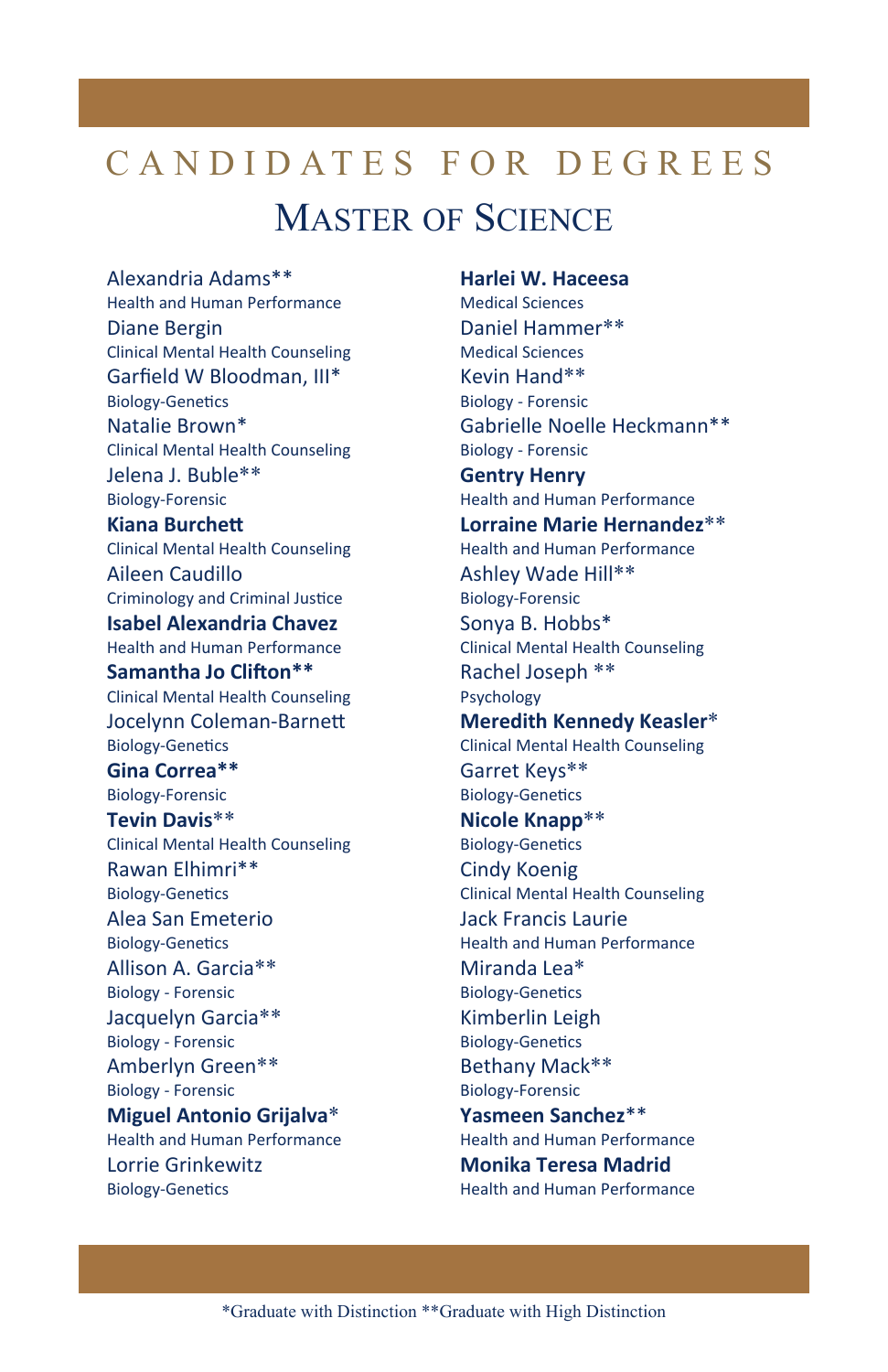# CANDIDATES FOR DEGREES MASTER OF SCIENCE

Alexandria Adams\*\* Health and Human Performance Diane Bergin Clinical Mental Health Counseling Garfield W Bloodman, III\* Biology-Genetics Natalie Brown\* Clinical Mental Health Counseling Jelena J. Buble\*\* Biology‐Forensic **Kiana Burchett** Clinical Mental Health Counseling Aileen Caudillo Criminology and Criminal Justice **Isabel Alexandria Chavez**  Health and Human Performance **Samantha Jo Clifton\*\*** Clinical Mental Health Counseling Jocelynn Coleman-Barnett Biology-Genetics **Gina Correa\*\***  Biology‐Forensic **Tevin Davis**\*\* Clinical Mental Health Counseling Rawan Elhimri\*\* Biology-Genetics Alea San Emeterio Biology-Genetics Allison A. Garcia\*\* Biology ‐ Forensic Jacquelyn Garcia\*\* Biology ‐ Forensic Amberlyn Green\*\* Biology ‐ Forensic **Miguel Antonio Grijalva**\* Health and Human Performance Lorrie Grinkewitz Biology-Genetics

**Harlei W. Haceesa** Medical Sciences Daniel Hammer\*\* Medical Sciences Kevin Hand\*\* Biology ‐ Forensic Gabrielle Noelle Heckmann\*\* Biology ‐ Forensic **Gentry Henry**  Health and Human Performance **Lorraine Marie Hernandez**\*\* Health and Human Performance Ashley Wade Hill\*\* Biology‐Forensic Sonya B. Hobbs\* Clinical Mental Health Counseling Rachel Joseph \*\* Psychology **Meredith Kennedy Keasler**\* Clinical Mental Health Counseling Garret Keys\*\* Biology-Genetics **Nicole Knapp**\*\* Biology-Genetics Cindy Koenig Clinical Mental Health Counseling Jack Francis Laurie Health and Human Performance Miranda Lea\* Biology-Genetics Kimberlin Leigh Biology-Genetics Bethany Mack\*\* Biology‐Forensic **Yasmeen Sanchez**\*\* Health and Human Performance **Monika Teresa Madrid**  Health and Human Performance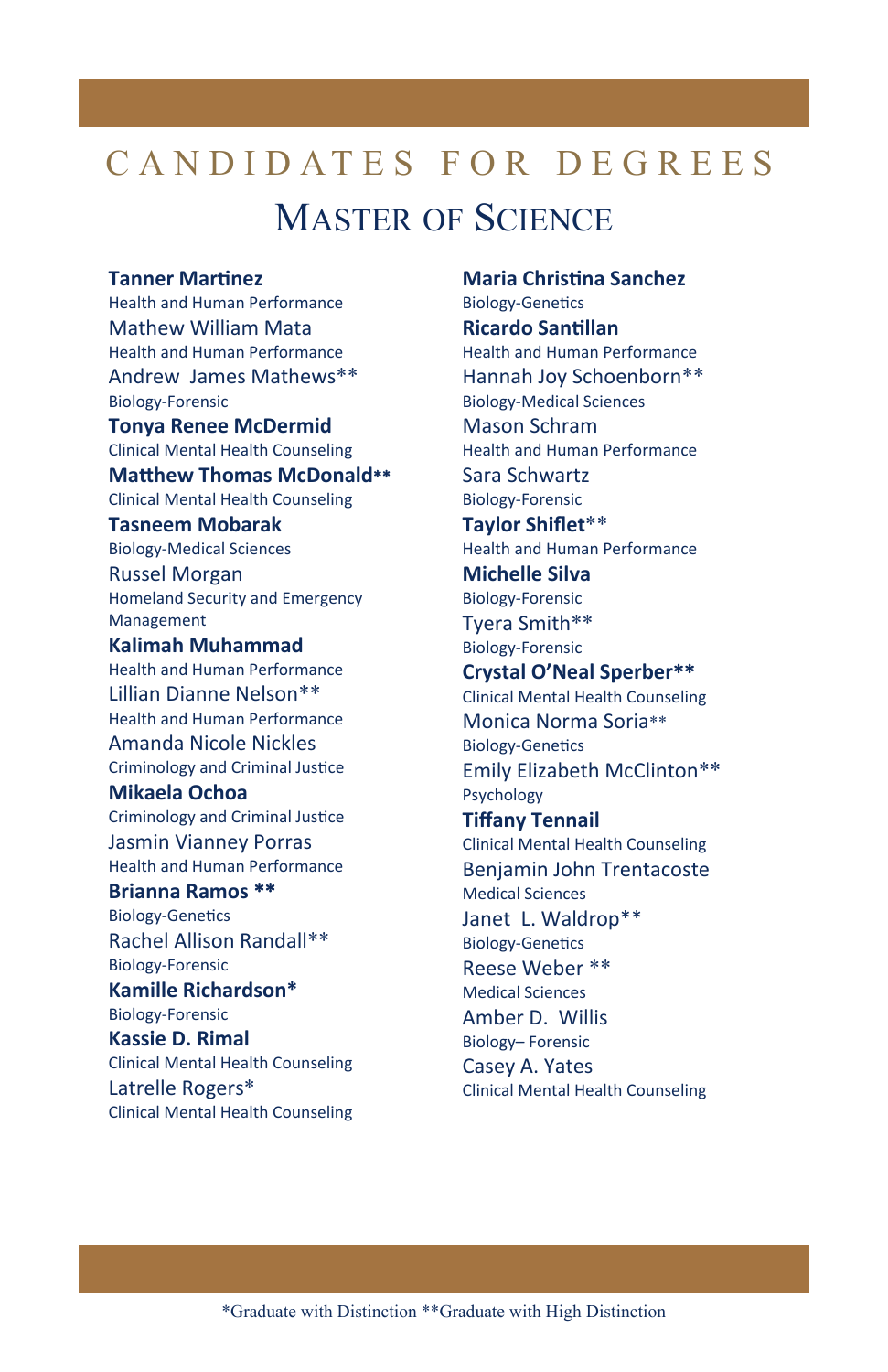# CANDIDATES FOR DEGREES MASTER OF SCIENCE

#### **Tanner MarƟnez**

Health and Human Performance Mathew William Mata Health and Human Performance Andrew James Mathews\*\* Biology‐Forensic **Tonya Renee McDermid** Clinical Mental Health Counseling **MaƩhew Thomas McDonald**\*\* Clinical Mental Health Counseling **Tasneem Mobarak** Biology‐Medical Sciences Russel Morgan Homeland Security and Emergency Management **Kalimah Muhammad**  Health and Human Performance Lillian Dianne Nelson\*\* Health and Human Performance Amanda Nicole Nickles Criminology and Criminal Justice **Mikaela Ochoa**  Criminology and Criminal Justice Jasmin Vianney Porras Health and Human Performance **Brianna Ramos** \*\* Biology-Genetics Rachel Allison Randall\*\* Biology‐Forensic **Kamille Richardson\*** Biology‐Forensic **Kassie D. Rimal**

Clinical Mental Health Counseling Latrelle Rogers\* Clinical Mental Health Counseling **Maria ChrisƟna Sanchez** Biology-Genetics **Ricardo SanƟllan** Health and Human Performance Hannah Joy Schoenborn\*\* Biology‐Medical Sciences Mason Schram Health and Human Performance Sara Schwartz Biology‐Forensic **Taylor Shiflet**\*\* Health and Human Performance **Michelle Silva** Biology‐Forensic Tyera Smith\*\* Biology‐Forensic **Crystal O'Neal Sperber**\*\* Clinical Mental Health Counseling Monica Norma Soria\*\* Biology-Genetics Emily Elizabeth McClinton\*\* Psychology **Tiffany Tennail** Clinical Mental Health Counseling Benjamin John Trentacoste Medical Sciences Janet L. Waldrop\*\* Biology-Genetics Reese Weber \*\* Medical Sciences Amber D. Willis Biology– Forensic Casey A. Yates Clinical Mental Health Counseling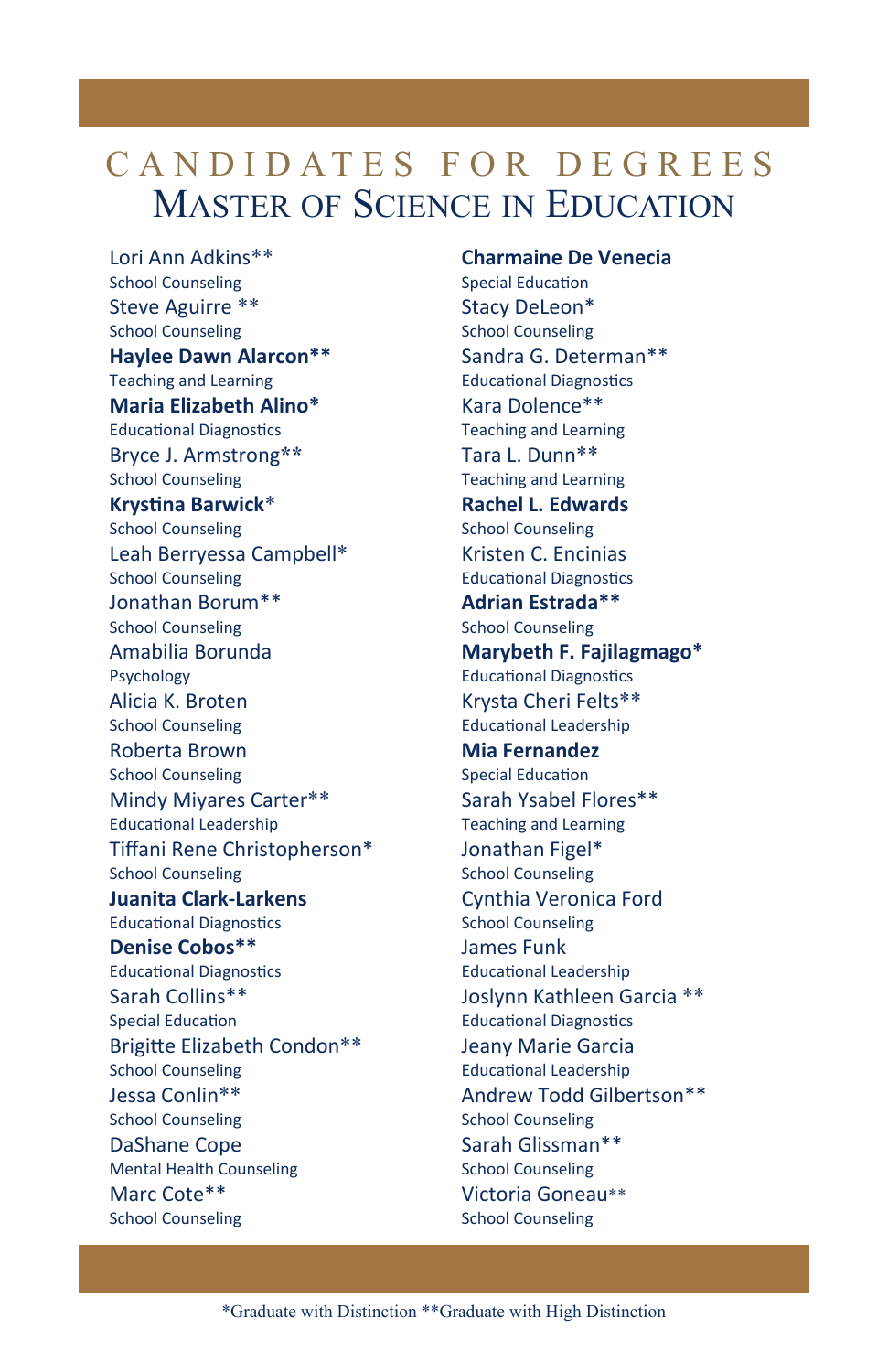## CANDIDATES FOR DEGREES MASTER OF SCIENCE IN EDUCATION

Lori Ann Adkins\*\* School Counseling Steve Aguirre \*\* School Counseling **Haylee Dawn Alarcon\*\*** Teaching and Learning **Maria Elizabeth Alino\*** Educational Diagnostics Bryce J. Armstrong**\*\*** School Counseling **KrysƟna Barwick**\* School Counseling Leah Berryessa Campbell\* School Counseling Jonathan Borum\*\* School Counseling Amabilia Borunda Psychology Alicia K. Broten School Counseling Roberta Brown School Counseling Mindy Miyares Carter\*\* Educational Leadership Tiffani Rene Christopherson\* School Counseling **Juanita Clark‐Larkens** Educational Diagnostics **Denise Cobos\*\*** Educational Diagnostics Sarah Collins\*\* Special Education Brigitte Elizabeth Condon\*\* School Counseling Jessa Conlin\*\* School Counseling DaShane Cope Mental Health Counseling Marc Cote\*\* School Counseling

**Charmaine De Venecia** Special Education Stacy DeLeon\* School Counseling Sandra G. Determan\*\* Educational Diagnostics Kara Dolence\*\* Teaching and Learning Tara L. Dunn\*\* Teaching and Learning **Rachel L. Edwards** School Counseling Kristen C. Encinias Educational Diagnostics **Adrian Estrada\*\***  School Counseling **Marybeth F. Fajilagmago\*** Educational Diagnostics Krysta Cheri Felts\*\* Educational Leadership **Mia Fernandez**  Special Education Sarah Ysabel Flores\*\* Teaching and Learning Jonathan Figel\* School Counseling Cynthia Veronica Ford School Counseling James Funk Educational Leadership Joslynn Kathleen Garcia \*\* **Educational Diagnostics** Jeany Marie Garcia EducaƟonal Leadership Andrew Todd Gilbertson\*\* School Counseling Sarah Glissman\*\* School Counseling Victoria Goneau\*\* School Counseling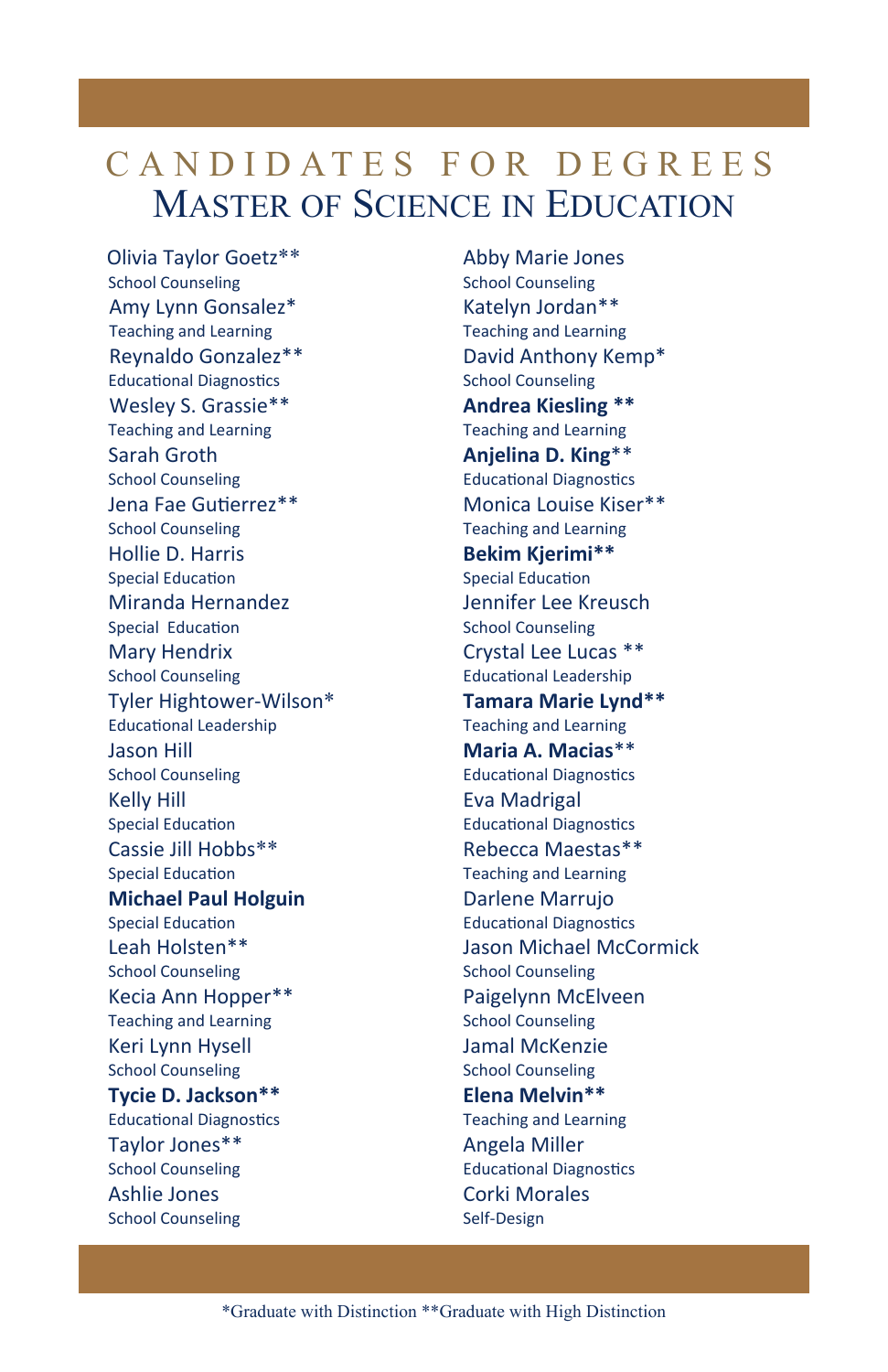## CANDIDATES FOR DEGREES MASTER OF SCIENCE IN EDUCATION

Olivia Taylor Goetz\*\* School Counseling Amy Lynn Gonsalez\* Teaching and Learning Reynaldo Gonzalez\*\* Educational Diagnostics Wesley S. Grassie\*\* Teaching and Learning Sarah Groth School Counseling Jena Fae GuƟerrez\*\* School Counseling Hollie D. Harris Special Education Miranda Hernandez Special Education Mary Hendrix School Counseling Tyler Hightower‐Wilson\* EducaƟonal Leadership Jason Hill School Counseling Kelly Hill Special Education Cassie Jill Hobbs\*\* Special Education **Michael Paul Holguin** Special Education Leah Holsten\*\* School Counseling Kecia Ann Hopper\*\* Teaching and Learning Keri Lynn Hysell School Counseling **Tycie D. Jackson\*\*** Educational Diagnostics Taylor Jones\*\* School Counseling Ashlie Jones School Counseling

Abby Marie Jones School Counseling Katelyn Jordan\*\* Teaching and Learning David Anthony Kemp\* School Counseling **Andrea Kiesling \*\*** Teaching and Learning **Anjelina D. King**\*\* Educational Diagnostics Monica Louise Kiser\*\* Teaching and Learning **Bekim Kjerimi\*\*** Special Education Jennifer Lee Kreusch School Counseling Crystal Lee Lucas \*\* Educational Leadership **Tamara Marie Lynd\*\*** Teaching and Learning **Maria A. Macias**\*\* Educational Diagnostics Eva Madrigal Educational Diagnostics Rebecca Maestas\*\* Teaching and Learning Darlene Marrujo Educational Diagnostics Jason Michael McCormick School Counseling Paigelynn McElveen School Counseling Jamal McKenzie School Counseling **Elena Melvin\*\*** Teaching and Learning Angela Miller Educational Diagnostics Corki Morales Self‐Design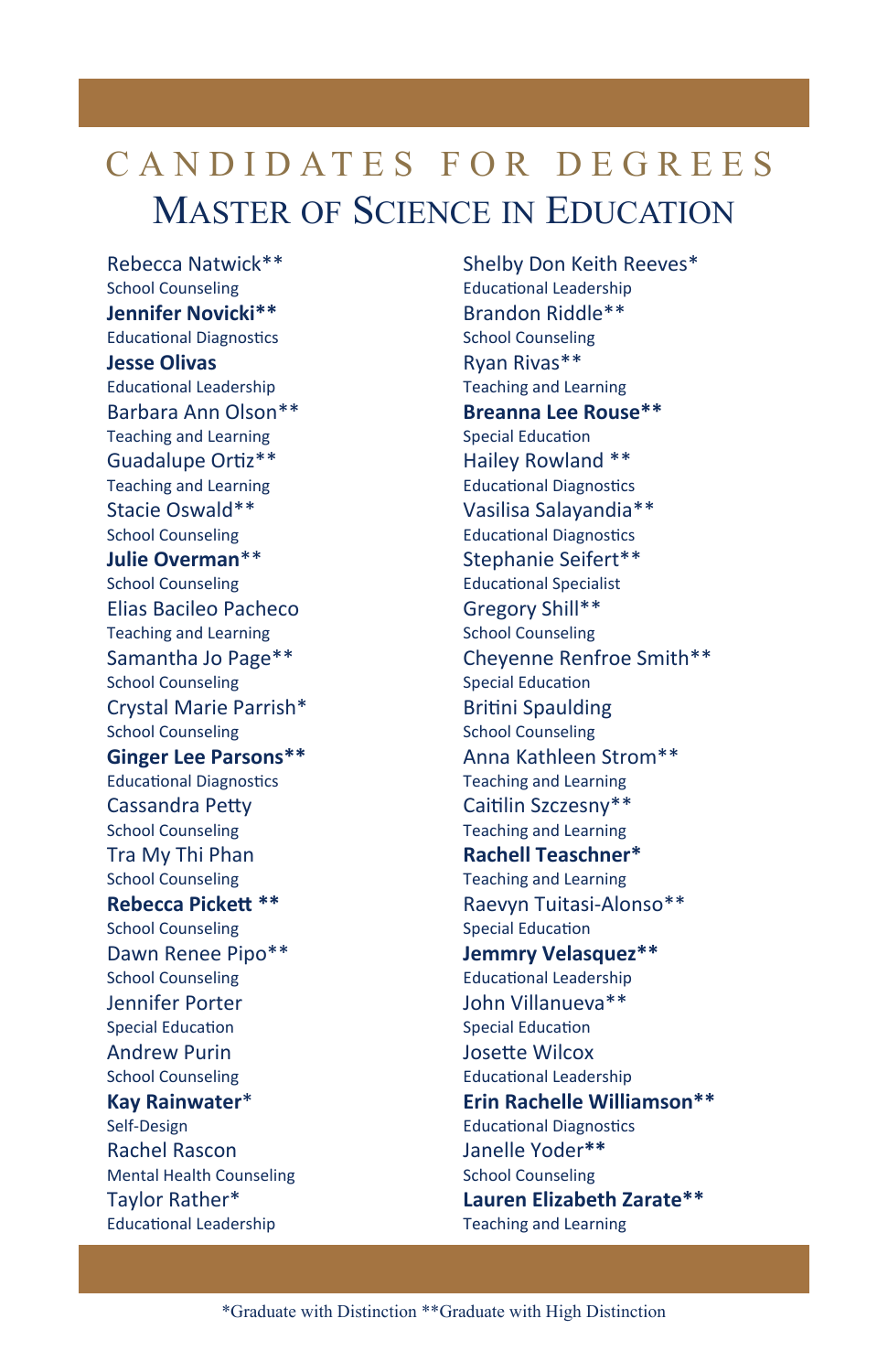## CANDIDATES FOR DEGREES MASTER OF SCIENCE IN EDUCATION

Rebecca Natwick\*\* School Counseling **Jennifer Novicki\*\*** Educational Diagnostics **Jesse Olivas**  Educational Leadership Barbara Ann Olson\*\* Teaching and Learning Guadalupe Ortiz\*\* Teaching and Learning Stacie Oswald\*\* School Counseling **Julie Overman**\*\* School Counseling Elias Bacileo Pacheco Teaching and Learning Samantha Jo Page\*\* School Counseling Crystal Marie Parrish\* School Counseling **Ginger Lee Parsons\*\*** Educational Diagnostics Cassandra PeƩy School Counseling Tra My Thi Phan School Counseling **Rebecca PickeƩ \*\*** School Counseling Dawn Renee Pipo\*\* School Counseling Jennifer Porter Special Education Andrew Purin School Counseling **Kay Rainwater**\* Self‐Design Rachel Rascon Mental Health Counseling Taylor Rather\* Educational Leadership

Shelby Don Keith Reeves\* EducaƟonal Leadership Brandon Riddle\*\* School Counseling Ryan Rivas\*\* Teaching and Learning **Breanna Lee Rouse\*\***  Special Education Hailey Rowland \*\* Educational Diagnostics Vasilisa Salayandia\*\* Educational Diagnostics Stephanie Seifert\*\* Educational Specialist Gregory Shill\*\* School Counseling Cheyenne Renfroe Smith\*\* Special Education Britini Spaulding School Counseling Anna Kathleen Strom\*\* Teaching and Learning Caitilin Szczesny\*\* Teaching and Learning **Rachell Teaschner\***  Teaching and Learning Raevyn Tuitasi‐Alonso\*\* Special Education **Jemmry Velasquez\*\*** EducaƟonal Leadership John Villanueva\*\* Special Education JoseƩe Wilcox EducaƟonal Leadership **Erin Rachelle Williamson\*\*** Educational Diagnostics Janelle Yoder**\*\*** School Counseling **Lauren Elizabeth Zarate\*\*** Teaching and Learning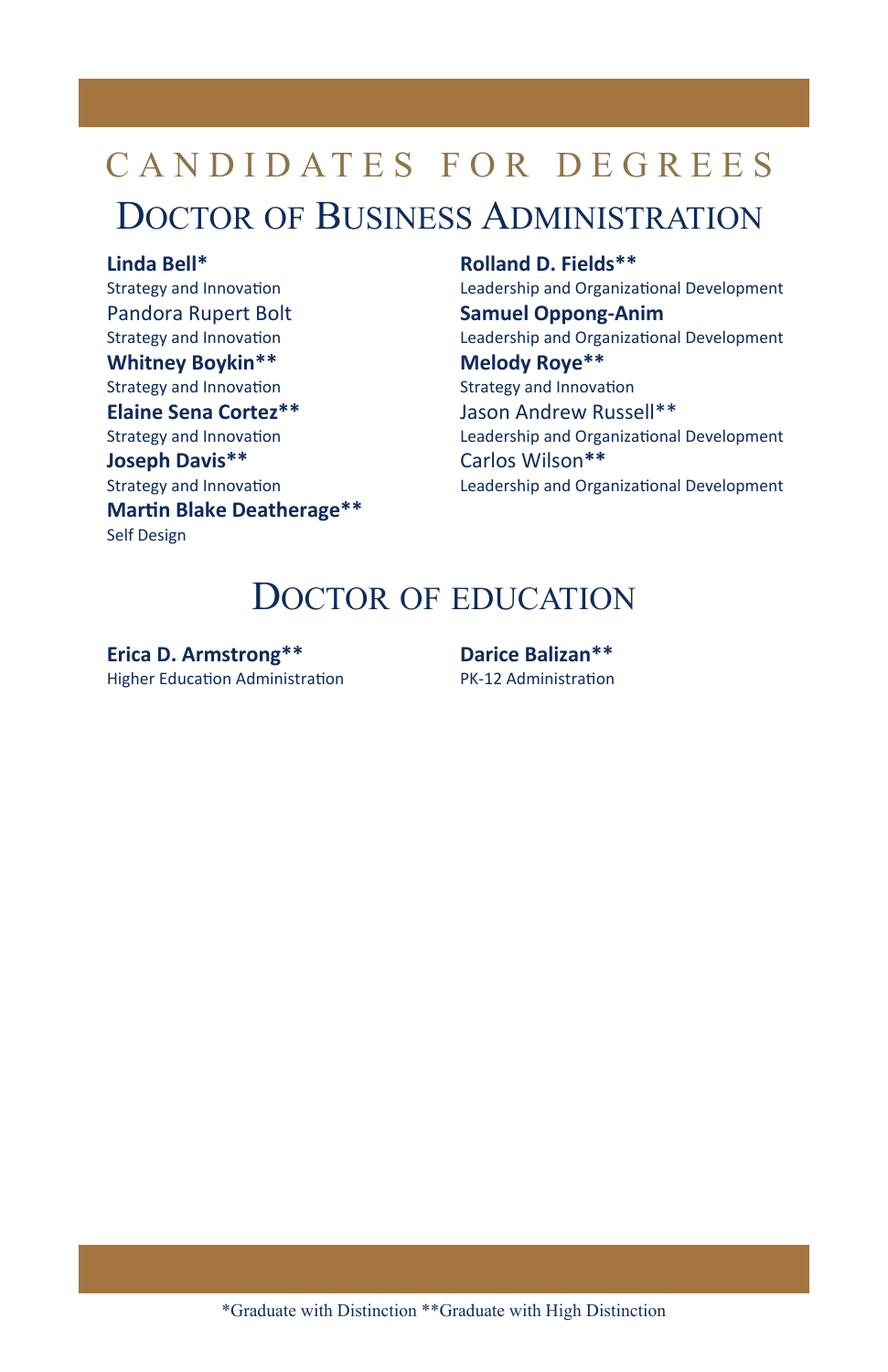## CANDIDATES FOR DEGREES DOCTOR OF BUSINESS ADMINISTRATION

#### **Linda Bell\***

Strategy and Innovation Pandora Rupert Bolt Strategy and Innovation **Whitney Boykin\*\*** Strategy and Innovation **Elaine Sena Cortez\*\*** Strategy and Innovation **Joseph Davis\*\*** Strategy and Innovation **MarƟn Blake Deatherage\*\*** Self Design

**Rolland D. Fields\*\*** Leadership and Organizational Development **Samuel Oppong‐Anim** Leadership and Organizational Development **Melody Roye\*\*** Strategy and Innovation Jason Andrew Russell\*\* Leadership and Organizational Development Carlos Wilson**\*\*** Leadership and Organizational Development

### DOCTOR OF EDUCATION

**Erica D. Armstrong\*\*** Higher Education Administration **Darice Balizan\*\*** PK‐12 AdministraƟon

\*Graduate with Distinction \*\*Graduate with High Distinction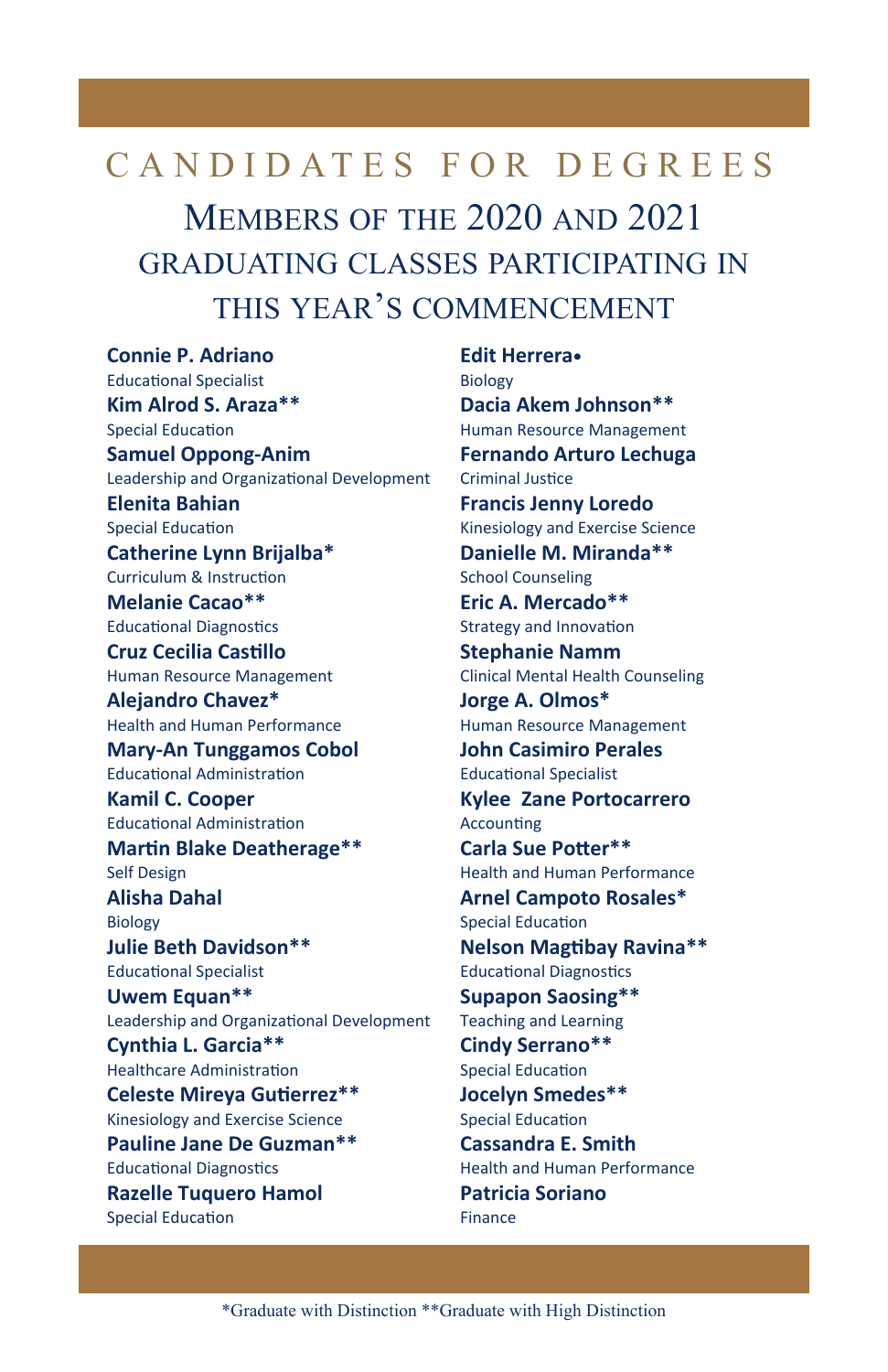## CANDIDATES FOR DEGREES MEMBERS OF THE 2020 AND 2021 **GRADUATING CLASSES PARTICIPATING IN** THIS YEAR'S COMMENCEMENT

**Connie P. Adriano Educational Specialist** Kim Alrod S. Araza\*\* **Special Education Samuel Oppong-Anim** Leadership and Organizational Development **Elenita Bahian Special Education** Catherine Lynn Brijalba\* Curriculum & Instruction Melanie Cacao\*\* **Educational Diagnostics Cruz Cecilia Castillo** Human Resource Management Aleiandro Chavez\* **Health and Human Performance Mary-An Tunggamos Cobol Educational Administration Kamil C. Cooper Educational Administration Martin Blake Deatherage\*\* Self Design Alisha Dahal Biology Julie Beth Davidson\*\* Educational Specialist** Uwem Equan\*\* Leadership and Organizational Development Cynthia L. Garcia\*\* **Healthcare Administration Celeste Mireya Gutierrez\*\*** Kinesiology and Exercise Science Pauline Jane De Guzman\*\* **Educational Diagnostics Razelle Tuquero Hamol Special Education** 

**Edit Herrera**. **Biology** Dacia Akem Johnson\*\* Human Resource Management **Fernando Arturo Lechuga Criminal Justice Francis Jenny Loredo** Kinesiology and Exercise Science Danielle M. Miranda\*\* **School Counseling** Eric A. Mercado\*\* **Strategy and Innovation Stephanie Namm Clinical Mental Health Counseling** Jorge A. Olmos\* Human Resource Management **John Casimiro Perales Educational Specialist Kylee Zane Portocarrero** Accounting Carla Sue Potter\*\* **Health and Human Performance Arnel Campoto Rosales\* Special Education Nelson Magtibay Ravina\*\* Educational Diagnostics Supapon Saosing\*\* Teaching and Learning** Cindy Serrano\*\* **Special Education Jocelyn Smedes\*\* Special Education Cassandra E. Smith** Health and Human Performance **Patricia Soriano** Finance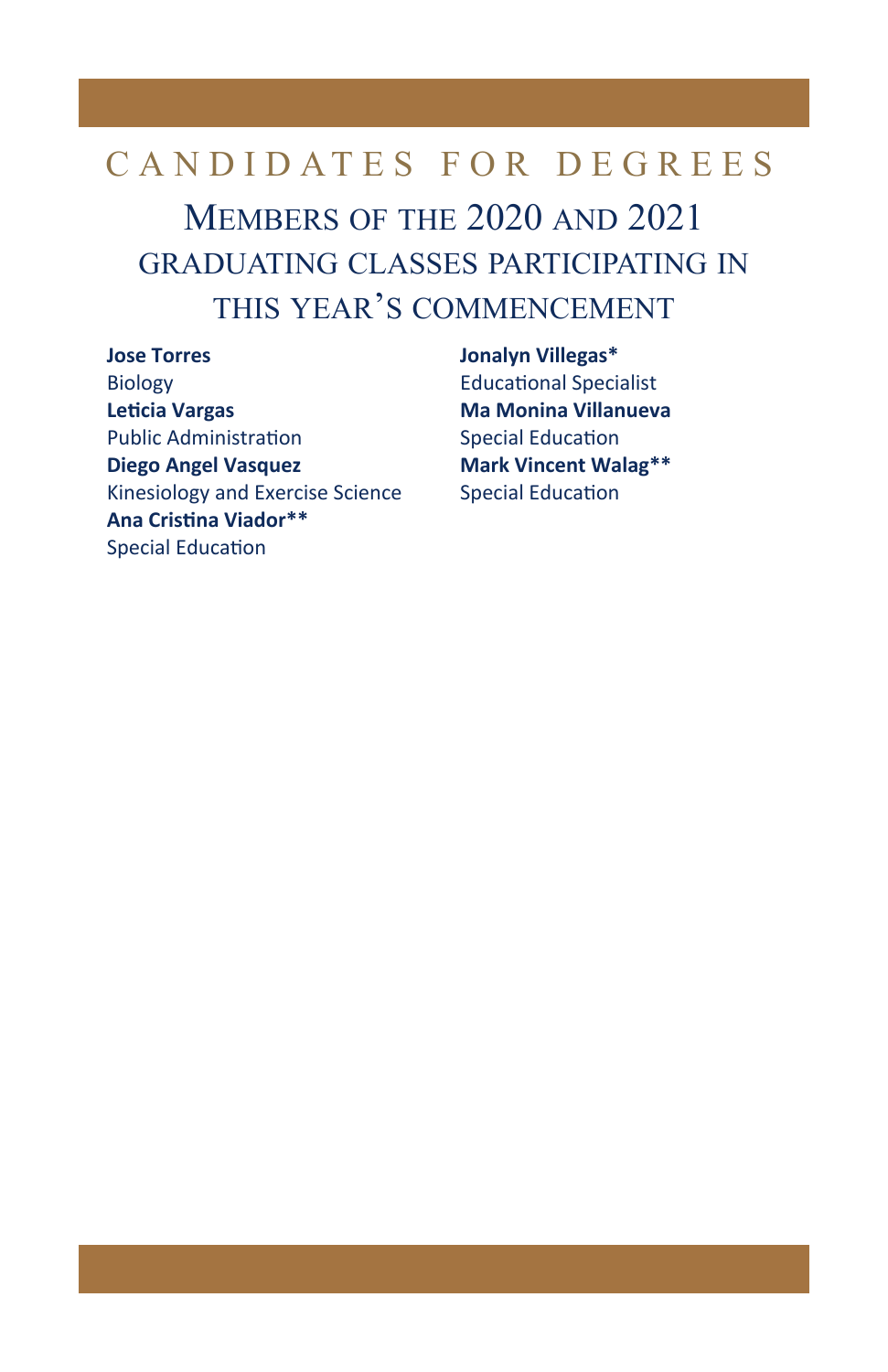## CANDIDATES FOR DEGREES MEMBERS OF THE 2020 AND 2021 **GRADUATING CLASSES PARTICIPATING IN** THIS YEAR'S COMMENCEMENT

**Jose Torres Biology Leticia Vargas Public Administration Diego Angel Vasquez** Kinesiology and Exercise Science Ana Cristina Viador\*\* **Special Education** 

**Jonalyn Villegas\* Educational Specialist Ma Monina Villanueva Special Education Mark Vincent Walag\*\* Special Education**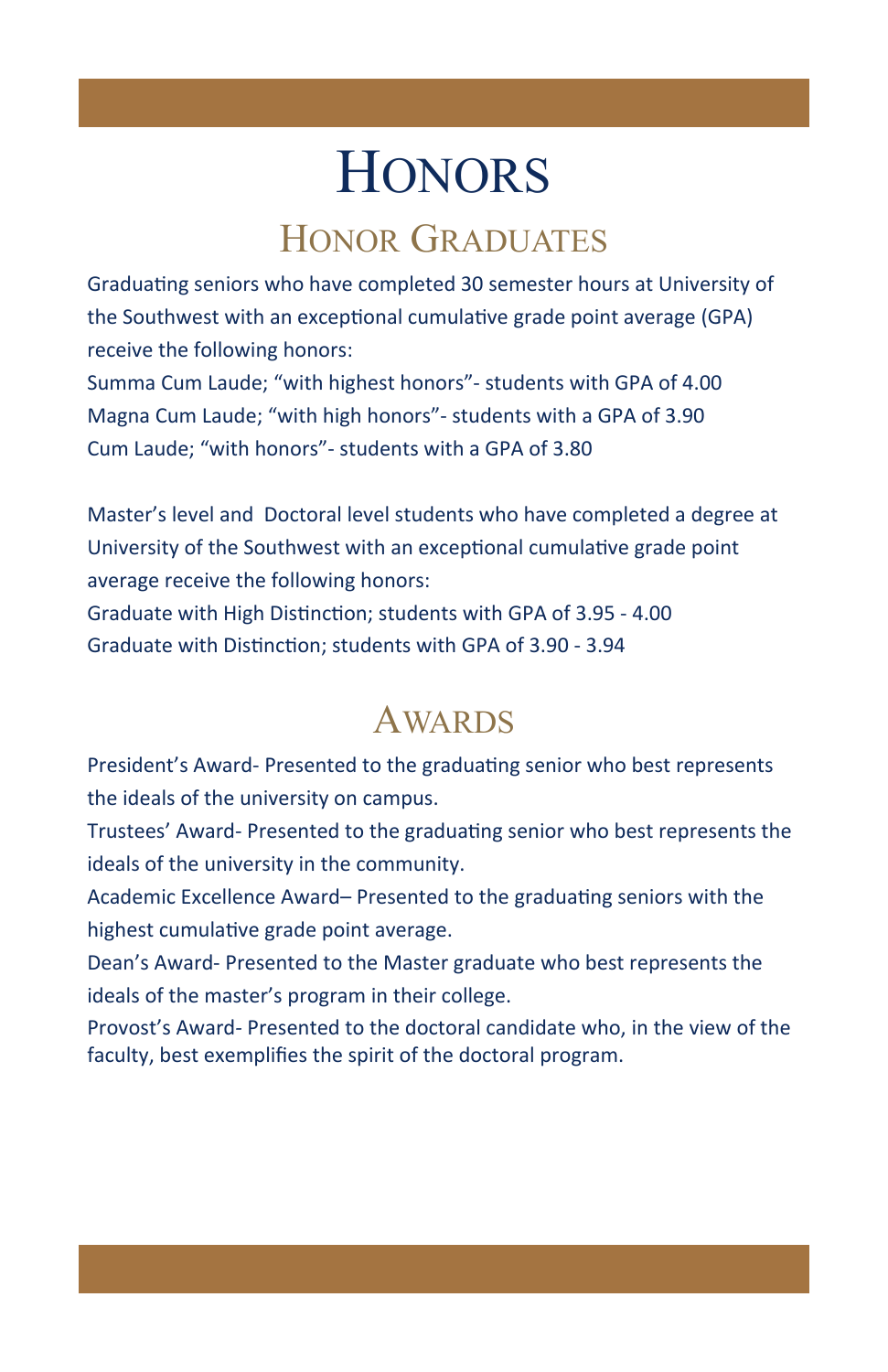# **HONORS**

## HONOR GRADUATES

Graduating seniors who have completed 30 semester hours at University of the Southwest with an exceptional cumulative grade point average (GPA) receive the following honors: Summa Cum Laude; "with highest honors"‐ students with GPA of 4.00 Magna Cum Laude; "with high honors"‐ students with a GPA of 3.90 Cum Laude; "with honors"‐ students with a GPA of 3.80

Master's level and Doctoral level students who have completed a degree at University of the Southwest with an exceptional cumulative grade point average receive the following honors:

Graduate with High Distinction; students with GPA of 3.95 - 4.00 Graduate with Distinction: students with GPA of 3.90 - 3.94

## AWARDS

President's Award- Presented to the graduating senior who best represents the ideals of the university on campus.

Trustees' Award-Presented to the graduating senior who best represents the ideals of the university in the community.

Academic Excellence Award– Presented to the graduating seniors with the highest cumulative grade point average.

Dean's Award‐ Presented to the Master graduate who best represents the ideals of the master's program in their college.

Provost's Award*‐* Presented to the doctoral candidate who, in the view of the faculty, best exemplifies the spirit of the doctoral program.